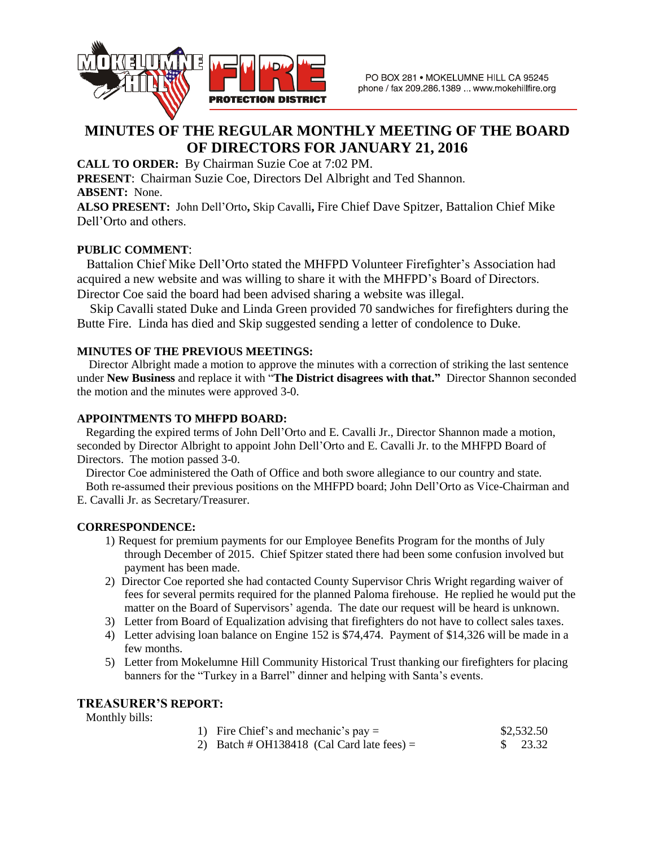

# **MINUTES OF THE REGULAR MONTHLY MEETING OF THE BOARD OF DIRECTORS FOR JANUARY 21, 2016**

**CALL TO ORDER:** By Chairman Suzie Coe at 7:02 PM.

**PRESENT**: Chairman Suzie Coe, Directors Del Albright and Ted Shannon. **ABSENT:** None.

**ALSO PRESENT:** John Dell'Orto**,** Skip Cavalli**,** Fire Chief Dave Spitzer, Battalion Chief Mike Dell'Orto and others.

### **PUBLIC COMMENT**:

 Battalion Chief Mike Dell'Orto stated the MHFPD Volunteer Firefighter's Association had acquired a new website and was willing to share it with the MHFPD's Board of Directors. Director Coe said the board had been advised sharing a website was illegal.

 Skip Cavalli stated Duke and Linda Green provided 70 sandwiches for firefighters during the Butte Fire. Linda has died and Skip suggested sending a letter of condolence to Duke.

### **MINUTES OF THE PREVIOUS MEETINGS:**

Director Albright made a motion to approve the minutes with a correction of striking the last sentence under **New Business** and replace it with "**The District disagrees with that."** Director Shannon seconded the motion and the minutes were approved 3-0.

### **APPOINTMENTS TO MHFPD BOARD:**

Regarding the expired terms of John Dell'Orto and E. Cavalli Jr., Director Shannon made a motion, seconded by Director Albright to appoint John Dell'Orto and E. Cavalli Jr. to the MHFPD Board of Directors. The motion passed 3-0.

 Director Coe administered the Oath of Office and both swore allegiance to our country and state. Both re-assumed their previous positions on the MHFPD board; John Dell'Orto as Vice-Chairman and E. Cavalli Jr. as Secretary/Treasurer.

### **CORRESPONDENCE:**

- 1) Request for premium payments for our Employee Benefits Program for the months of July through December of 2015. Chief Spitzer stated there had been some confusion involved but payment has been made.
- 2) Director Coe reported she had contacted County Supervisor Chris Wright regarding waiver of fees for several permits required for the planned Paloma firehouse. He replied he would put the matter on the Board of Supervisors' agenda. The date our request will be heard is unknown.
- 3) Letter from Board of Equalization advising that firefighters do not have to collect sales taxes.
- 4) Letter advising loan balance on Engine 152 is \$74,474. Payment of \$14,326 will be made in a few months.
- 5) Letter from Mokelumne Hill Community Historical Trust thanking our firefighters for placing banners for the "Turkey in a Barrel" dinner and helping with Santa's events.

#### **TREASURER'S REPORT:**

Monthly bills:

- 1) Fire Chief's and mechanic's pay  $=$  \$2,532.50
- 2) Batch # OH138418 (Cal Card late fees) =  $$ 23.32$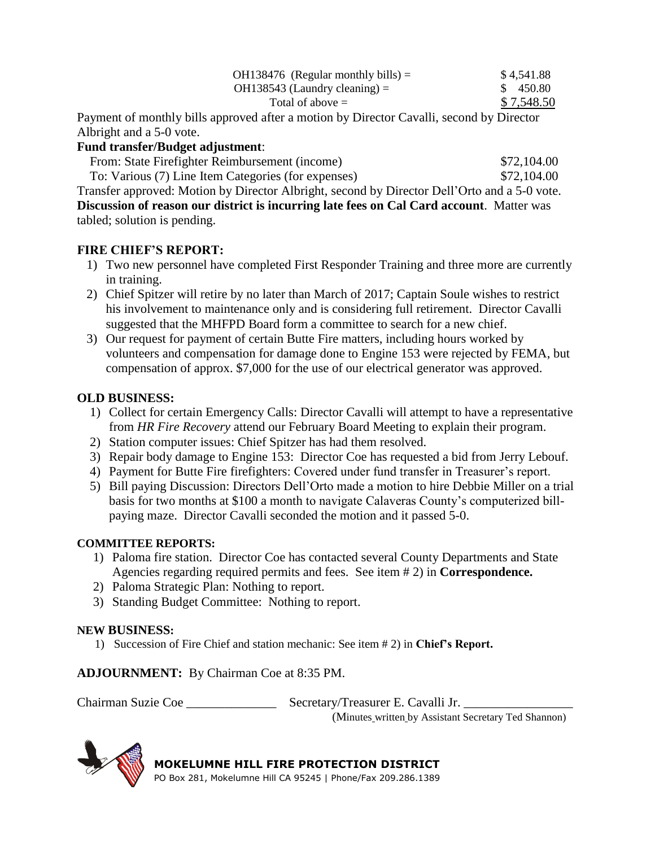| OH138476 (Regular monthly bills) $=$ | \$4,541.88 |
|--------------------------------------|------------|
| $OH138543$ (Laundry cleaning) =      | \$450.80   |
| Total of above $=$                   | \$7,548.50 |

Payment of monthly bills approved after a motion by Director Cavalli, second by Director Albright and a 5-0 vote.

### **Fund transfer/Budget adjustment**:

From: State Firefighter Reimbursement (income)  $$72,104.00$ 

 To: Various (7) Line Item Categories (for expenses) \$72,104.00 Transfer approved: Motion by Director Albright, second by Director Dell'Orto and a 5-0 vote.

**Discussion of reason our district is incurring late fees on Cal Card account**. Matter was tabled; solution is pending.

## **FIRE CHIEF'S REPORT:**

- 1) Two new personnel have completed First Responder Training and three more are currently in training.
- 2) Chief Spitzer will retire by no later than March of 2017; Captain Soule wishes to restrict his involvement to maintenance only and is considering full retirement. Director Cavalli suggested that the MHFPD Board form a committee to search for a new chief.
- 3) Our request for payment of certain Butte Fire matters, including hours worked by volunteers and compensation for damage done to Engine 153 were rejected by FEMA, but compensation of approx. \$7,000 for the use of our electrical generator was approved.

## **OLD BUSINESS:**

- 1) Collect for certain Emergency Calls: Director Cavalli will attempt to have a representative from *HR Fire Recovery* attend our February Board Meeting to explain their program.
- 2) Station computer issues: Chief Spitzer has had them resolved.
- 3) Repair body damage to Engine 153: Director Coe has requested a bid from Jerry Lebouf.
- 4) Payment for Butte Fire firefighters: Covered under fund transfer in Treasurer's report.
- 5) Bill paying Discussion: Directors Dell'Orto made a motion to hire Debbie Miller on a trial basis for two months at \$100 a month to navigate Calaveras County's computerized billpaying maze. Director Cavalli seconded the motion and it passed 5-0.

## **COMMITTEE REPORTS:**

- 1) Paloma fire station. Director Coe has contacted several County Departments and State Agencies regarding required permits and fees. See item # 2) in **Correspondence.**
- 2) Paloma Strategic Plan: Nothing to report.
- 3) Standing Budget Committee: Nothing to report.

## **NEW BUSINESS:**

1) Succession of Fire Chief and station mechanic: See item # 2) in **Chief's Report.**

**ADJOURNMENT:** By Chairman Coe at 8:35 PM.

Chairman Suzie Coe \_\_\_\_\_\_\_\_\_\_\_\_\_\_\_\_\_\_\_\_\_\_\_ Secretary/Treasurer E. Cavalli Jr.

(Minutes written by Assistant Secretary Ted Shannon)



**MOKELUMNE HILL FIRE PROTECTION DISTRICT** PO Box 281, Mokelumne Hill CA 95245 | Phone/Fax 209.286.1389